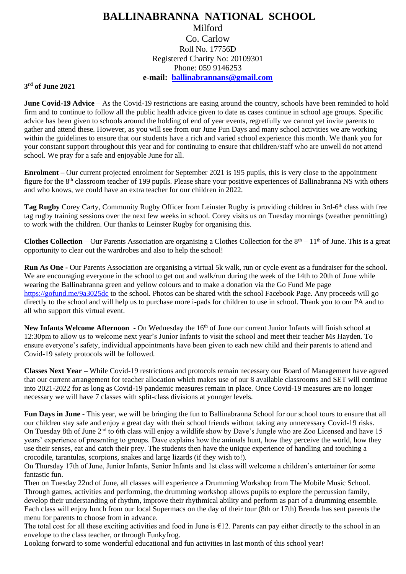## **BALLINABRANNA NATIONAL SCHOOL** Milford Co. Carlow Roll No. 17756D Registered Charity No: 20109301 Phone: 059 9146253 **e-mail: [ballinabrannans@gmail.com](mailto:ballinabrannans@gmail.com)**

## **3 rd of June 2021**

**June Covid-19 Advice** – As the Covid-19 restrictions are easing around the country, schools have been reminded to hold firm and to continue to follow all the public health advice given to date as cases continue in school age groups. Specific advice has been given to schools around the holding of end of year events, regretfully we cannot yet invite parents to gather and attend these. However, as you will see from our June Fun Days and many school activities we are working within the guidelines to ensure that our students have a rich and varied school experience this month. We thank you for your constant support throughout this year and for continuing to ensure that children/staff who are unwell do not attend school. We pray for a safe and enjoyable June for all.

**Enrolment –** Our current projected enrolment for September 2021 is 195 pupils, this is very close to the appointment figure for the 8th classroom teacher of 199 pupils. Please share your positive experiences of Ballinabranna NS with others and who knows, we could have an extra teacher for our children in 2022.

Tag Rugby Corey Carty, Community Rugby Officer from Leinster Rugby is providing children in 3rd-6<sup>th</sup> class with free tag rugby training sessions over the next few weeks in school. Corey visits us on Tuesday mornings (weather permitting) to work with the children. Our thanks to Leinster Rugby for organising this.

**Clothes Collection** – Our Parents Association are organising a Clothes Collection for the  $8<sup>th</sup> - 11<sup>th</sup>$  of June. This is a great opportunity to clear out the wardrobes and also to help the school!

**Run As One -** Our Parents Association are organising a virtual 5k walk, run or cycle event as a fundraiser for the school. We are encouraging everyone in the school to get out and walk/run during the week of the 14th to 20th of June while wearing the Ballinabranna green and yellow colours and to make a donation via the Go Fund Me page <https://gofund.me/9a3025dc> to the school. Photos can be shared with the school Facebook Page. Any proceeds will go directly to the school and will help us to purchase more i-pads for children to use in school. Thank you to our PA and to all who support this virtual event.

**New Infants Welcome Afternoon -** On Wednesday the 16th of June our current Junior Infants will finish school at 12:30pm to allow us to welcome next year's Junior Infants to visit the school and meet their teacher Ms Hayden. To ensure everyone's safety, individual appointments have been given to each new child and their parents to attend and Covid-19 safety protocols will be followed.

**Classes Next Year –** While Covid-19 restrictions and protocols remain necessary our Board of Management have agreed that our current arrangement for teacher allocation which makes use of our 8 available classrooms and SET will continue into 2021-2022 for as long as Covid-19 pandemic measures remain in place. Once Covid-19 measures are no longer necessary we will have 7 classes with split-class divisions at younger levels.

**Fun Days in June** - This year, we will be bringing the fun to Ballinabranna School for our school tours to ensure that all our children stay safe and enjoy a great day with their school friends without taking any unnecessary Covid-19 risks. On Tuesday 8th of June 2<sup>nd</sup> to 6th class will enjoy a wildlife show by Dave's Jungle who are Zoo Licensed and have 15 years' experience of presenting to groups. Dave explains how the animals hunt, how they perceive the world, how they use their senses, eat and catch their prey. The students then have the unique experience of handling and touching a crocodile, tarantulas, scorpions, snakes and large lizards (if they wish to!).

On Thursday 17th of June, Junior Infants, Senior Infants and 1st class will welcome a children's entertainer for some fantastic fun.

Then on Tuesday 22nd of June, all classes will experience a Drumming Workshop from The Mobile Music School. Through games, activities and performing, the drumming workshop allows pupils to explore the percussion family, develop their understanding of rhythm, improve their rhythmical ability and perform as part of a drumming ensemble. Each class will enjoy lunch from our local Supermacs on the day of their tour (8th or 17th) Brenda has sent parents the menu for parents to choose from in advance.

The total cost for all these exciting activities and food in June is  $E12$ . Parents can pay either directly to the school in an envelope to the class teacher, or through Funkyfrog.

Looking forward to some wonderful educational and fun activities in last month of this school year!